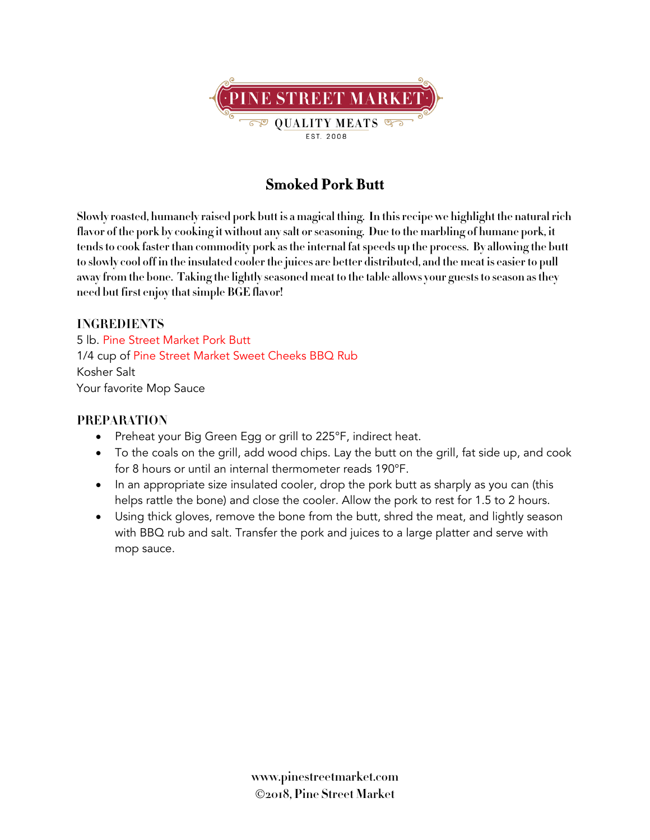

## **Smoked Pork Butt**

Slowly roasted, humanely raised pork butt is a magical thing. In this recipe we highlight the natural rich flavor of the pork by cooking it without any salt or seasoning. Due to the marbling of humane pork, it **tendsto cook faster than commodity pork asthe internal fatspeeds up the process. By allowing the butt** to slowly cool off in the insulated cooler the juices are better distributed, and the meat is easier to pull **away from the bone. Taking the lightly seasoned meat to the table allows your gueststo season asthey need but first enjoy thatsimple BGE flavor!**

## **INGREDIENTS**

5 lb. Pine Street Market Pork Butt 1/4 cup of Pine Street Market Sweet Cheeks BBQ Rub Kosher Salt Your favorite Mop Sauce

## **PREPARATION**

- Preheat your Big Green Egg or grill to 225°F, indirect heat.
- To the coals on the grill, add wood chips. Lay the butt on the grill, fat side up, and cook for 8 hours or until an internal thermometer reads 190°F.
- In an appropriate size insulated cooler, drop the pork butt as sharply as you can (this helps rattle the bone) and close the cooler. Allow the pork to rest for 1.5 to 2 hours.
- Using thick gloves, remove the bone from the butt, shred the meat, and lightly season with BBQ rub and salt. Transfer the pork and juices to a large platter and serve with mop sauce.

**www.pinestreetmarket.com** Ó**2018, Pine Street Market**